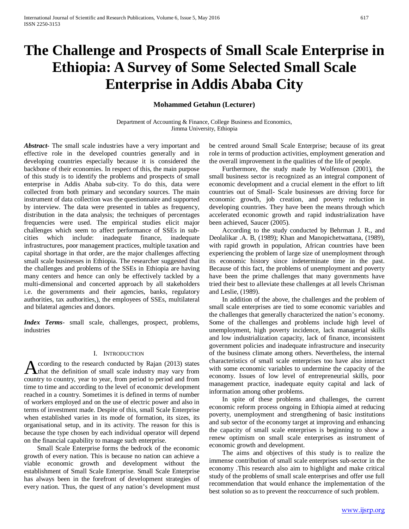# **The Challenge and Prospects of Small Scale Enterprise in Ethiopia: A Survey of Some Selected Small Scale Enterprise in Addis Ababa City**

**Mohammed Getahun (Lecturer)**

Department of Accounting & Finance, College Business and Economics, Jimma University, Ethiopia

*Abstract***-** The small scale industries have a very important and effective role in the developed countries generally and in developing countries especially because it is considered the backbone of their economies. In respect of this, the main purpose of this study is to identify the problems and prospects of small enterprise in Addis Ababa sub-city. To do this, data were collected from both primary and secondary sources. The main instrument of data collection was the questionnaire and supported by interview. The data were presented in tables as frequency, distribution in the data analysis; the techniques of percentages frequencies were used. The empirical studies elicit major challenges which seem to affect performance of SSEs in subcities which include: inadequate finance, inadequate infrastructures, poor management practices, multiple taxation and capital shortage in that order, are the major challenges affecting small scale businesses in Ethiopia. The researcher suggested that the challenges and problems of the SSEs in Ethiopia are having many centers and hence can only be effectively tackled by a multi-dimensional and concerted approach by all stakeholders i.e. the governments and their agencies, banks, regulatory authorities, tax authorities,), the employees of SSEs, multilateral and bilateral agencies and donors.

*Index Terms*- small scale, challenges, prospect, problems, industries

## I. INTRODUCTION

ccording to the research conducted by Rajan (2013) states According to the research conducted by Rajan (2013) states<br>
Athat the definition of small scale industry may vary from country to country, year to year, from period to period and from time to time and according to the level of economic development reached in a country. Sometimes it is defined in terms of number of workers employed and on the use of electric power and also in terms of investment made. Despite of this, small Scale Enterprise when established varies in its mode of formation, its sizes, its organisational setup, and in its activity. The reason for this is because the type chosen by each individual operator will depend on the financial capability to manage such enterprise.

 Small Scale Enterprise forms the bedrock of the economic growth of every nation. This is because no nation can achieve a viable economic growth and development without the establishment of Small Scale Enterprise. Small Scale Enterprise has always been in the forefront of development strategies of every nation. Thus, the quest of any nation's development must be centred around Small Scale Enterprise; because of its great role in terms of production activities, employment generation and the overall improvement in the qualities of the life of people.

 Furthermore, the study made by Wolfenson (2001), the small business sector is recognized as an integral component of economic development and a crucial element in the effort to lift countries out of Small- Scale businesses are driving force for economic growth, job creation, and poverty reduction in developing countries. They have been the means through which accelerated economic growth and rapid industrialization have been achieved, Saucer (2005).

 According to the study conducted by Behrman J. R., and Deolalikar .A. B, (1989); Khan and Manopichetwattana, (1989), with rapid growth in population, African countries have been experiencing the problem of large size of unemployment through its economic history since indeterminate time in the past. Because of this fact, the problems of unemployment and poverty have been the prime challenges that many governments have tried their best to alleviate these challenges at all levels Chrisman and Leslie, (1989).

 In addition of the above, the challenges and the problem of small scale enterprises are tied to some economic variables and the challenges that generally characterized the nation's economy. Some of the challenges and problems include high level of unemployment, high poverty incidence, lack managerial skills and low industrialization capacity, lack of finance, inconsistent government policies and inadequate infrastructure and insecurity of the business climate among others. Nevertheless, the internal characteristics of small scale enterprises too have also interact with some economic variables to undermine the capacity of the economy. Issues of low level of entrepreneurial skills, poor management practice, inadequate equity capital and lack of information among other problems.

 In spite of these problems and challenges, the current economic reform process ongoing in Ethiopia aimed at reducing poverty, unemployment and strengthening of basic institutions and sub sector of the economy target at improving and enhancing the capacity of small scale enterprises is beginning to show a renew optimism on small scale enterprises as instrument of economic growth and development.

 The aims and objectives of this study is to realize the immense contribution of small scale enterprises sub-sector in the economy .This research also aim to highlight and make critical study of the problems of small scale enterprises and offer use full recommendation that would enhance the implementation of the best solution so as to prevent the reoccurrence of such problem.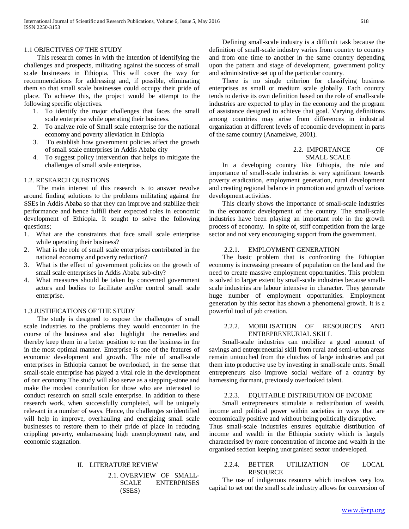## 1.1 OBJECTIVES OF THE STUDY

 This research comes in with the intention of identifying the challenges and prospects, militating against the success of small scale businesses in Ethiopia. This will cover the way for recommendations for addressing and, if possible, eliminating them so that small scale businesses could occupy their pride of place. To achieve this, the project would be attempt to the following specific objectives.

- 1. To identify the major challenges that faces the small scale enterprise while operating their business.
- 2. To analyze role of Small scale enterprise for the national economy and poverty alleviation in Ethiopia
- 3. To establish how government policies affect the growth of small scale enterprises in Addis Ababa city
- 4. To suggest policy intervention that helps to mitigate the challenges of small scale enterprise.

## 1.2. RESEARCH QUESTIONS

 The main interest of this research is to answer revolve around finding solutions to the problems militating against the SSEs in Addis Ababa so that they can improve and stabilize their performance and hence fulfill their expected roles in economic development of Ethiopia. It sought to solve the following questions;

- 1. What are the constraints that face small scale enterprise while operating their business?
- 2. What is the role of small scale enterprises contributed in the national economy and poverty reduction?
- 3. What is the effect of government policies on the growth of small scale enterprises in Addis Ababa sub-city?
- 4. What measures should be taken by concerned government actors and bodies to facilitate and/or control small scale enterprise.

## 1.3 JUSTIFICATIONS OF THE STUDY

 The study is designed to expose the challenges of small scale industries to the problems they would encounter in the course of the business and also highlight the remedies and thereby keep them in a better position to run the business in the in the most optimal manner. Enterprise is one of the features of economic development and growth. The role of small-scale enterprises in Ethiopia cannot be overlooked, in the sense that small-scale enterprise has played a vital role in the development of our economy.The study will also serve as a stepping-stone and make the modest contribution for those who are interested to conduct research on small scale enterprise. In addition to these research work, when successfully completed, will be uniquely relevant in a number of ways. Hence, the challenges so identified will help in improve, overhauling and energizing small scale businesses to restore them to their pride of place in reducing crippling poverty, embarrassing high unemployment rate, and economic stagnation.

## II. LITERATURE REVIEW

# 2.1. OVERVIEW OF SMALL-SCALE ENTERPRISES (SSES)

 Defining small-scale industry is a difficult task because the definition of small-scale industry varies from country to country and from one time to another in the same country depending upon the pattern and stage of development, government policy and administrative set up of the particular country.

 There is no single criterion for classifying business enterprises as small or medium scale globally. Each country tends to derive its own definition based on the role of small-scale industries are expected to play in the economy and the program of assistance designed to achieve that goal. Varying definitions among countries may arise from differences in industrial organization at different levels of economic development in parts of the same country (Anamekwe, 2001).

## 2.2. IMPORTANCE OF SMALL SCALE

 In a developing country like Ethiopia, the role and importance of small-scale industries is very significant towards poverty eradication, employment generation, rural development and creating regional balance in promotion and growth of various development activities.

 This clearly shows the importance of small-scale industries in the economic development of the country. The small-scale industries have been playing an important role in the growth process of economy. In spite of, stiff competition from the large sector and not very encouraging support from the government.

# 2.2.1. EMPLOYMENT GENERATION

 The basic problem that is confronting the Ethiopian economy is increasing pressure of population on the land and the need to create massive employment opportunities. This problem is solved to larger extent by small-scale industries because smallscale industries are labour intensive in character. They generate huge number of employment opportunities. Employment generation by this sector has shown a phenomenal growth. It is a powerful tool of job creation.

## 2.2.2. MOBILISATION OF RESOURCES AND ENTREPRENEURIAL SKILL

 Small-scale industries can mobilize a good amount of savings and entrepreneurial skill from rural and semi-urban areas remain untouched from the clutches of large industries and put them into productive use by investing in small-scale units. Small entrepreneurs also improve social welfare of a country by harnessing dormant, previously overlooked talent.

## 2.2.3. EQUITABLE DISTRIBUTION OF INCOME

 Small entrepreneurs stimulate a redistribution of wealth, income and political power within societies in ways that are economically positive and without being politically disruptive. Thus small-scale industries ensures equitable distribution of income and wealth in the Ethiopia society which is largely characterised by more concentration of income and wealth in the organised section keeping unorganised sector undeveloped.

## 2.2.4. BETTER UTILIZATION OF LOCAL RESOURCE

 The use of indigenous resource which involves very low capital to set out the small scale industry allows for conversion of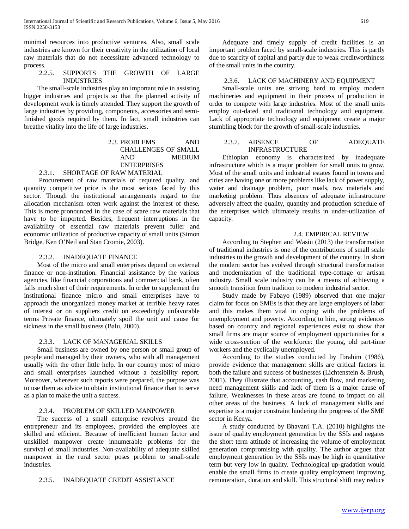minimal resources into productive ventures. Also, small scale industries are known for their creativity in the utilization of local raw materials that do not necessitate advanced technology to process.

## 2.2.5. SUPPORTS THE GROWTH OF LARGE INDUSTRIES

 The small-scale industries play an important role in assisting bigger industries and projects so that the planned activity of development work is timely attended. They support the growth of large industries by providing, components, accessories and semifinished goods required by them. In fact, small industries can breathe vitality into the life of large industries.

## 2.3. PROBLEMS AND CHALLENGES OF SMALL AND MEDIUM **ENTERPRISES**

## 2.3.1. SHORTAGE OF RAW MATERIAL

 Procurement of raw materials of required quality, and quantity competitive price is the most serious faced by this sector. Though the institutional arrangements regard to the allocation mechanism often work against the interest of these. This is more pronounced in the case of scare raw materials that have to be imported. Besides, frequent interruptions in the availability of essential raw materials prevent fuller and economic utilization of productive capacity of small units (Simon Bridge, Ken O'Neil and Stan Cromie, 2003).

## 2.3.2. INADEQUATE FINANCE

 Most of the micro and small enterprises depend on external finance or non-institution. Financial assistance by the various agencies, like financial corporations and commercial bank, often falls much short of their requirements. In order to supplement the institutional finance micro and small enterprises have to approach the unorganized money market at terrible heavy rates of interest or on suppliers credit on exceedingly unfavorable terms Private finance, ultimately spoil the unit and cause for sickness in the small business (Balu, 2000).

## 2.3.3. LACK OF MANAGERIAL SKILLS

 Small business are owned by one person or small group of people and managed by their owners, who with all management usually with the other little help. In our country most of micro and small enterprises launched without a feasibility report. Moreover, wherever such reports were prepared, the purpose was to use them as advice to obtain institutional finance than to serve as a plan to make the unit a success.

## 2.3.4. PROBLEM OF SKILLED MANPOWER

 The success of a small enterprise revolves around the entrepreneur and its employees, provided the employees are skilled and efficient. Because of inefficient human factor and unskilled manpower create innumerable problems for the survival of small industries. Non-availability of adequate skilled manpower in the rural sector poses problem to small-scale industries.

#### 2.3.5. INADEQUATE CREDIT ASSISTANCE

 Adequate and timely supply of credit facilities is an important problem faced by small-scale industries. This is partly due to scarcity of capital and partly due to weak creditworthiness of the small units in the country.

## 2.3.6. LACK OF MACHINERY AND EQUIPMENT

 Small-scale units are striving hard to employ modern machineries and equipment in their process of production in order to compete with large industries. Most of the small units employ out-dated and traditional technology and equipment. Lack of appropriate technology and equipment create a major stumbling block for the growth of small-scale industries.

## 2.3.7. ABSENCE OF ADEQUATE INFRASTRUCTURE

 Ethiopian economy is characterized by inadequate infrastructure which is a major problem for small units to grow. Most of the small units and industrial estates found in towns and cities are having one or more problems like lack of power supply, water and drainage problem, poor roads, raw materials and marketing problem. Thus absences of adequate infrastructure adversely affect the quality, quantity and production schedule of the enterprises which ultimately results in under-utilization of capacity.

## 2.4. EMPIRICAL REVIEW

 According to Stephen and Wasiu (2013) the transformation of traditional industries is one of the contributions of small scale industries to the growth and development of the country. In short the modern sector has evolved through structural transformation and modernization of the traditional type-cottage or artisan industry. Small scale industry can be a means of achieving a smooth transition from tradition to modern industrial sector.

 Study made by Fabayo (1989) observed that one major claim for focus on SMEs is that they are large employers of labor and this makes them vital in coping with the problems of unemployment and poverty. According to him, strong evidences based on country and regional experiences exist to show that small firms are major source of employment opportunities for a wide cross-section of the workforce: the young, old part-time workers and the cyclically unemployed.

 According to the studies conducted by Ibrahim (1986), provide evidence that management skills are critical factors in both the failure and success of businesses (Lichtenstein & Brush, 2001). They illustrate that accounting, cash flow, and marketing need management skills and lack of them is a major cause of failure. Weaknesses in these areas are found to impact on all other areas of the business. A lack of management skills and expertise is a major constraint hindering the progress of the SME sector in Kenya.

 A study conducted by Bhavani T.A. (2010) highlights the issue of quality employment generation by the SSIs and negates the short term attitude of increasing the volume of employment generation compromising with quality. The author argues that employment generation by the SSIs may be high in quantitative term but very low in quality. Technological up-gradation would enable the small firms to create quality employment improving remuneration, duration and skill. This structural shift may reduce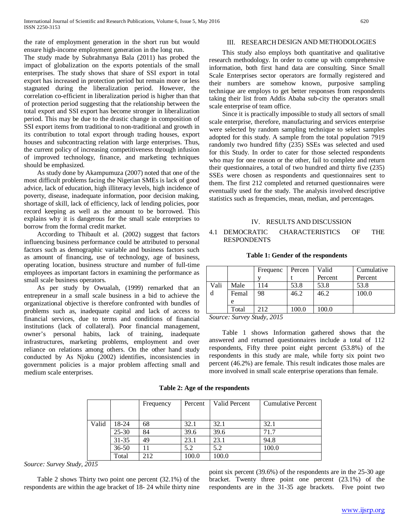the rate of employment generation in the short run but would ensure high-income employment generation in the long run.

The study made by Subrahmanya Bala (2011) has probed the impact of globalization on the exports potentials of the small enterprises. The study shows that share of SSI export in total export has increased in protection period but remain more or less stagnated during the liberalization period. However, the correlation co-efficient in liberalization period is higher than that of protection period suggesting that the relationship between the total export and SSI export has become stronger in liberalization period. This may be due to the drastic change in composition of SSI export items from traditional to non-traditional and growth in its contribution to total export through trading houses, export houses and subcontracting relation with large enterprises. Thus, the current policy of increasing competitiveness through infusion of improved technology, finance, and marketing techniques should be emphasized.

 As study done by Akampumuza (2007) noted that one of the most difficult problems facing the Nigerian SMEs is lack of good advice, lack of education, high illiteracy levels, high incidence of poverty, disease, inadequate information, poor decision making, shortage of skill, lack of efficiency, lack of lending policies, poor record keeping as well as the amount to be borrowed. This explains why it is dangerous for the small scale enterprises to borrow from the formal credit market.

 According to Thibault et al. (2002) suggest that factors influencing business performance could be attributed to personal factors such as demographic variable and business factors such as amount of financing, use of technology, age of business, operating location, business structure and number of full-time employees as important factors in examining the performance as small scale business operators.

 As per study by Owualah, (1999) remarked that an entrepreneur in a small scale business in a bid to achieve the organizational objective is therefore confronted with bundles of problems such as, inadequate capital and lack of access to financial services, due to terms and conditions of financial institutions (lack of collateral). Poor financial management, owner's personal habits, lack of training, inadequate infrastructures, marketing problems, employment and over reliance on relations among others. On the other hand study conducted by As Njoku (2002) identifies, inconsistencies in government policies is a major problem affecting small and medium scale enterprises.

# III. RESEARCH DESIGN AND METHODOLOGIES

 This study also employs both quantitative and qualitative research methodology. In order to come up with comprehensive information, both first hand data are consulting. Since Small Scale Enterprises sector operators are formally registered and their numbers are somehow known, purposive sampling technique are employs to get better responses from respondents taking their list from Addis Ababa sub-city the operators small scale enterprise of team office.

 Since it is practically impossible to study all sectors of small scale enterprise, therefore, manufacturing and services enterprise were selected by random sampling technique to select samples adopted for this study. A sample from the total population 7919 randomly two hundred fifty (235) SSEs was selected and used for this Study. In order to cater for those selected respondents who may for one reason or the other, fail to complete and return their questionnaires, a total of two hundred and thirty five (235) SSEs were chosen as respondents and questionnaires sent to them. The first 212 completed and returned questionnaires were eventually used for the study. The analysis involved descriptive statistics such as frequencies, mean, median, and percentages.

## IV. RESULTS AND DISCUSSION

## 4.1 DEMOCRATIC CHARACTERISTICS OF THE RESPONDENTS

#### **Table 1: Gender of the respondents**

|        |        | Frequenc          | Percen | Valid   | Cumulative |
|--------|--------|-------------------|--------|---------|------------|
|        |        |                   |        | Percent | Percent    |
| Vali   | Male   | 114               | 53.8   | 53.8    | 53.8       |
|        | Femal  | 98                | 46.2   | 46.2    | 100.0      |
|        | e      |                   |        |         |            |
|        | Total  | 212               | 100.0  | 100.0   |            |
| $\sim$ | $\sim$ | $\alpha$ $\alpha$ |        |         |            |

*Source: Survey Study, 2015*

 Table 1 shows Information gathered shows that the answered and returned questionnaires include a total of 112 respondents, Fifty three point eight percent (53.8%) of the respondents in this study are male, while forty six point two percent (46.2%) are female. This result indicates those males are more involved in small scale enterprise operations than female.

**Table 2: Age of the respondents**

|       |           | Frequency | Percent | Valid Percent | <b>Cumulative Percent</b> |
|-------|-----------|-----------|---------|---------------|---------------------------|
|       |           |           |         |               |                           |
| Valid | 18-24     | 68        | 32.1    | 32.1          | 32.1                      |
|       | $25 - 30$ | 84        | 39.6    | 39.6          | 71.7                      |
|       | $31 - 35$ | 49        | 23.1    | 23.1          | 94.8                      |
|       | $36 - 50$ |           | 5.2     | 5.2           | 100.0                     |
|       | Total     | 212       | 100.0   | 100.0         |                           |

*Source: Survey Study, 2015*

 Table 2 shows Thirty two point one percent (32.1%) of the respondents are within the age bracket of 18- 24 while thirty nine point six percent (39.6%) of the respondents are in the 25-30 age bracket. Twenty three point one percent (23.1%) of the respondents are in the 31-35 age brackets. Five point two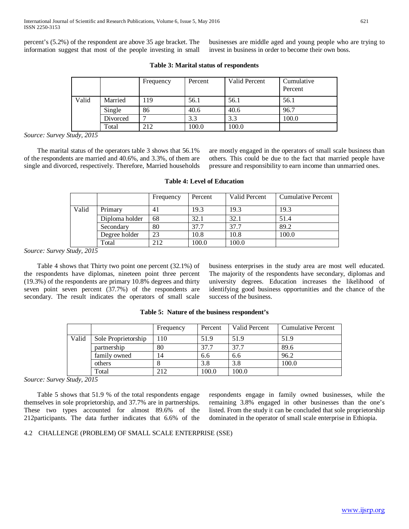percent's (5.2%) of the respondent are above 35 age bracket. The information suggest that most of the people investing in small businesses are middle aged and young people who are trying to invest in business in order to become their own boss.

|       |          | Frequency | Percent | Valid Percent | Cumulative<br>Percent |
|-------|----------|-----------|---------|---------------|-----------------------|
| Valid | Married  | .19       | 56.1    | 56.1          | 56.1                  |
|       | Single   | 86        | 40.6    | 40.6          | 96.7                  |
|       | Divorced |           | 3.3     | 3.3           | 100.0                 |
|       | Total    | 212       | 100.0   | 100.0         |                       |

## **Table 3: Marital status of respondents**

*Source: Survey Study, 2015*

 The marital status of the operators table 3 shows that 56.1% of the respondents are married and 40.6%, and 3.3%, of them are single and divorced, respectively. Therefore, Married households are mostly engaged in the operators of small scale business than others. This could be due to the fact that married people have pressure and responsibility to earn income than unmarried ones.

|       |                | Frequency | Percent | Valid Percent | <b>Cumulative Percent</b> |
|-------|----------------|-----------|---------|---------------|---------------------------|
| Valid | Primary        | 41        | 19.3    | 19.3          | 19.3                      |
|       | Diploma holder | 68        | 32.1    | 32.1          | 51.4                      |
|       | Secondary      | 80        | 37.7    | 37.7          | 89.2                      |
|       | Degree holder  | 23        | 10.8    | 10.8          | 100.0                     |
|       | Total          | 212       | 100.0   | 100.0         |                           |

#### **Table 4: Level of Education**

*Source: Survey Study, 2015*

 Table 4 shows that Thirty two point one percent (32.1%) of the respondents have diplomas, nineteen point three percent (19.3%) of the respondents are primary 10.8% degrees and thirty seven point seven percent (37.7%) of the respondents are secondary. The result indicates the operators of small scale

business enterprises in the study area are most well educated. The majority of the respondents have secondary, diplomas and university degrees. Education increases the likelihood of identifying good business opportunities and the chance of the success of the business.

|       |                     | Frequency | Percent | Valid Percent | Cumulative Percent |
|-------|---------------------|-----------|---------|---------------|--------------------|
| Valid | Sole Proprietorship | 110       | 51.9    | 51.9          | 51.9               |
|       | partnership         | 80        | 37.7    | 37.7          | 89.6               |
|       | family owned        | 14        | 6.6     | 6.6           | 96.2               |
|       | others              |           | 3.8     | 3.8           | 100.0              |
|       | Total               | 212       | 100.0   | 100.0         |                    |

#### **Table 5: Nature of the business respondent's**

*Source: Survey Study, 2015*

 Table 5 shows that 51.9 % of the total respondents engage themselves in sole proprietorship, and 37.7% are in partnerships. These two types accounted for almost 89.6% of the 212participants. The data further indicates that 6.6% of the

respondents engage in family owned businesses, while the remaining 3.8% engaged in other businesses than the one's listed. From the study it can be concluded that sole proprietorship dominated in the operator of small scale enterprise in Ethiopia.

## 4.2 CHALLENGE (PROBLEM) OF SMALL SCALE ENTERPRISE (SSE)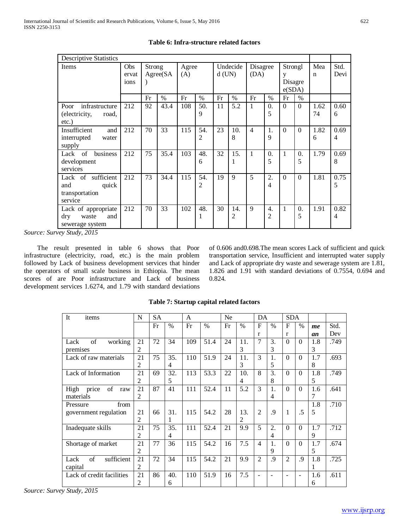| <b>Descriptive Statistics</b>                                        |                      |               |           |              |          |          |               |                  |                 |                                   |                 |                    |              |
|----------------------------------------------------------------------|----------------------|---------------|-----------|--------------|----------|----------|---------------|------------------|-----------------|-----------------------------------|-----------------|--------------------|--------------|
| Items                                                                | Obs<br>ervat<br>ions | <b>Strong</b> | Agree(SA) | Agree<br>(A) |          | $d$ (UN) | Undecide      | Disagree<br>(DA) |                 | Strongl<br>y<br>Disagre<br>e(SDA) |                 | Mea<br>$\mathbf n$ | Std.<br>Devi |
|                                                                      |                      | Fr            | $\%$      | Fr           | $\%$     | Fr       | $\frac{0}{0}$ | Fr               | %               | Fr                                | $\frac{0}{0}$   |                    |              |
| infrastructure<br>Poor<br>(electricity,<br>road,<br>$etc.$ )         | 212                  | 92            | 43.4      | 108          | 50.<br>9 | 11       | 5.2           | 1                | $\Omega$ .<br>5 | $\Omega$                          | $\theta$        | 1.62<br>74         | 0.60<br>6    |
| Insufficient<br>and<br>interrupted<br>water<br>supply                | 212                  | 70            | 33        | 115          | 54.<br>2 | 23       | 10.<br>8      | $\overline{4}$   | 1.<br>9         | $\Omega$                          | $\theta$        | 1.82<br>6          | 0.69<br>4    |
| business<br>Lack<br>- of<br>development<br>services                  | 212                  | 75            | 35.4      | 103          | 48.<br>6 | 32       | 15.<br>1      | 1                | 0.<br>5         | 1                                 | $\theta$ .<br>5 | 1.79               | 0.69<br>8    |
| Lack of sufficient<br>quick<br>and<br>transportation<br>service      | 212                  | 73            | 34.4      | 115          | 54.<br>2 | 19       | $\mathbf Q$   | 5                | 2.<br>4         | $\Omega$                          | $\Omega$        | 1.81               | 0.75<br>5    |
| Lack of appropriate<br>$\rm{dry}$<br>waste<br>and<br>sewerage system | 212                  | 70            | 33        | 102          | 48.<br>1 | 30       | 14.<br>2      | 9                | 4.<br>2         | 1                                 | $\theta$ .<br>5 | 1.91               | 0.82<br>4    |

# **Table 6: Infra-structure related factors**

*Source: Survey Study, 2015*

 The result presented in table 6 shows that Poor infrastructure (electricity, road, etc.) is the main problem followed by Lack of business development services that hinder the operators of small scale business in Ethiopia. The mean scores of are Poor infrastructure and Lack of business development services 1.6274, and 1.79 with standard deviations of 0.606 and0.698.The mean scores Lack of sufficient and quick transportation service, Insufficient and interrupted water supply and Lack of appropriate dry waste and sewerage system are 1.81, 1.826 and 1.91 with standard deviations of 0.7554, 0.694 and 0.824.

| It<br>items                | N              | SА |               | A   |      | N <sub>e</sub> |                | DA                       |         | <b>SDA</b>     |               |     |      |
|----------------------------|----------------|----|---------------|-----|------|----------------|----------------|--------------------------|---------|----------------|---------------|-----|------|
|                            |                | Fr | $\frac{0}{0}$ | Fr  | $\%$ | Fr             | $\%$           | $\mathbf{F}$             | $\%$    | $\mathbf{F}$   | $\frac{0}{0}$ | me  | Std. |
|                            |                |    |               |     |      |                |                | r                        |         | r              |               | an  | Dev  |
| of<br>working<br>Lack      | 21             | 72 | 34            | 109 | 51.4 | 24             | 11.            | $\tau$                   | 3.      | $\Omega$       | $\Omega$      | 1.8 | .749 |
| premises                   | 2              |    |               |     |      |                | 3              |                          | 3       |                |               | 3   |      |
| Lack of raw materials      | 21             | 75 | 35.           | 110 | 51.9 | 24             | 11.            | 3                        | 1.      | $\Omega$       | $\Omega$      | 1.7 | .693 |
|                            | 2              |    | 4             |     |      |                | 3              |                          | 5       |                |               | 8   |      |
| Lack of Information        | 21             | 69 | 32.           | 113 | 53.3 | 22             | 10.            | 8                        | 3.      | $\Omega$       | $\Omega$      | 1.8 | .749 |
|                            | 2              |    | 5             |     |      |                | $\overline{4}$ |                          | 8       |                |               | 5   |      |
| price<br>of<br>High<br>raw | 21             | 87 | 41            | 111 | 52.4 | 11             | 5.2            | 3                        | 1.      | $\Omega$       | $\Omega$      | 1.6 | .641 |
| materials                  | $\mathfrak{D}$ |    |               |     |      |                |                |                          | 4       |                |               | 7   |      |
| from<br>Pressure           |                |    |               |     |      |                |                |                          |         |                |               | 1.8 | .710 |
| government regulation      | 21             | 66 | 31.           | 115 | 54.2 | 28             | 13.            | $\overline{2}$           | $\cdot$ | 1              | .5            | 5   |      |
|                            | $\overline{2}$ |    | 1             |     |      |                | $\mathfrak{D}$ |                          |         |                |               |     |      |
| Inadequate skills          | 21             | 75 | 35.           | 111 | 52.4 | 21             | 9.9            | 5                        | 2.      | $\Omega$       | $\Omega$      | 1.7 | .712 |
|                            | 2              |    | 4             |     |      |                |                |                          | 4       |                |               | 9   |      |
| Shortage of market         | 21             | 77 | 36            | 115 | 54.2 | 16             | 7.5            | $\overline{4}$           | 1.      | $\Omega$       | $\Omega$      | 1.7 | .674 |
|                            | $\overline{2}$ |    |               |     |      |                |                |                          | 9       |                |               | 5   |      |
| sufficient<br>of<br>Lack   | 21             | 72 | 34            | 115 | 54.2 | 21             | 9.9            | $\overline{2}$           | $\cdot$ | $\overline{2}$ | .9            | 1.8 | .725 |
| capital                    | 2              |    |               |     |      |                |                |                          |         |                |               | 1   |      |
| Lack of credit facilities  | 21             | 86 | 40.           | 110 | 51.9 | 16             | 7.5            | $\overline{\phantom{a}}$ |         |                | ۰             | 1.6 | .611 |
|                            | 2              |    | 6             |     |      |                |                |                          |         |                |               | 6   |      |

# **Table 7: Startup capital related factors**

*Source: Survey Study, 2015*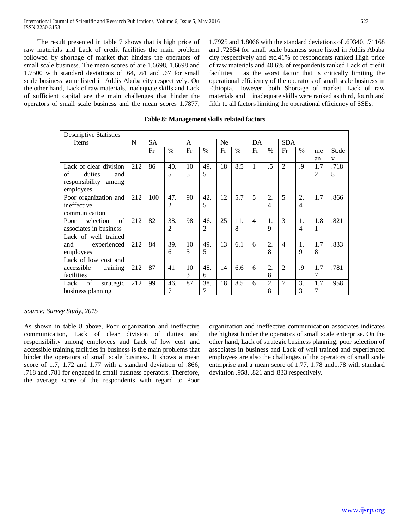The result presented in table 7 shows that is high price of raw materials and Lack of credit facilities the main problem followed by shortage of market that hinders the operators of small scale business. The mean scores of are 1.6698, 1.6698 and 1.7500 with standard deviations of .64, .61 and .67 for small scale business some listed in Addis Ababa city respectively. On the other hand, Lack of raw materials, inadequate skills and Lack of sufficient capital are the main challenges that hinder the operators of small scale business and the mean scores 1.7877,

1.7925 and 1.8066 with the standard deviations of .69340, .71168 and .72554 for small scale business some listed in Addis Ababa city respectively and etc.41% of respondents ranked High price of raw materials and 40.6% of respondents ranked Lack of credit facilities as the worst factor that is critically limiting the operational efficiency of the operators of small scale business in Ethiopia. However, both Shortage of market, Lack of raw materials and inadequate skills were ranked as third, fourth and fifth to all factors limiting the operational efficiency of SSEs.

| <b>Descriptive Statistics</b> |     |           |                |    |      |    |      |                |               |                |                |                |              |
|-------------------------------|-----|-----------|----------------|----|------|----|------|----------------|---------------|----------------|----------------|----------------|--------------|
| Items                         | N   | <b>SA</b> |                | A  |      | Ne |      | DA             |               | <b>SDA</b>     |                |                |              |
|                               |     | Fr        | $\frac{0}{0}$  | Fr | $\%$ | Fr | $\%$ | Fr             | $\frac{0}{0}$ | Fr             | $\%$           | me             | St.de        |
|                               |     |           |                |    |      |    |      |                |               |                |                | an             | $\mathbf{V}$ |
| Lack of clear division        | 212 | 86        | 40.            | 10 | 49.  | 18 | 8.5  | 1              | $\cdot$       | 2              | $\cdot$        | 1.7            | .718         |
| of<br>duties<br>and           |     |           | 5              | 5  | 5    |    |      |                |               |                |                | $\overline{2}$ | 8            |
| responsibility<br>among       |     |           |                |    |      |    |      |                |               |                |                |                |              |
| employees                     |     |           |                |    |      |    |      |                |               |                |                |                |              |
| Poor organization and         | 212 | 100       | 47.            | 90 | 42.  | 12 | 5.7  | 5              | 2.            | 5              | 2.             | 1.7            | .866         |
| ineffective                   |     |           | $\overline{2}$ |    | 5    |    |      |                | 4             |                | $\overline{4}$ |                |              |
| communication                 |     |           |                |    |      |    |      |                |               |                |                |                |              |
| of<br>selection<br>Poor       | 212 | 82        | 38.            | 98 | 46.  | 25 | 11.  | $\overline{4}$ | 1.            | $\mathcal{E}$  | 1.             | 1.8            | .821         |
| associates in business        |     |           | 2              |    | 2    |    | 8    |                | 9             |                | 4              | 1              |              |
| Lack of well trained          |     |           |                |    |      |    |      |                |               |                |                |                |              |
| experienced<br>and            | 212 | 84        | 39.            | 10 | 49.  | 13 | 6.1  | 6              | 2.            | $\overline{4}$ | 1.             | 1.7            | .833         |
| employees                     |     |           | 6              | 5  | 5    |    |      |                | 8             |                | 9              | 8              |              |
| Lack of low cost and          |     |           |                |    |      |    |      |                |               |                |                |                |              |
| accessible<br>training        | 212 | 87        | 41             | 10 | 48.  | 14 | 6.6  | 6              | 2.            | $\overline{2}$ | .9             | 1.7            | .781         |
| facilities                    |     |           |                | 3  | 6    |    |      |                | 8             |                |                | 7              |              |
| of<br>Lack<br>strategic       | 212 | 99        | 46.            | 87 | 38.  | 18 | 8.5  | 6              | 2.            | $\overline{7}$ | 3.             | 1.7            | .958         |
| business planning             |     |           | 7              |    | 7    |    |      |                | 8             |                | 3              | 7              |              |
|                               |     |           |                |    |      |    |      |                |               |                |                |                |              |

## **Table 8: Management skills related factors**

#### *Source: Survey Study, 2015*

As shown in table 8 above, Poor organization and ineffective communication, Lack of clear division of duties and responsibility among employees and Lack of low cost and accessible training facilities in business is the main problems that hinder the operators of small scale business. It shows a mean score of 1.7, 1.72 and 1.77 with a standard deviation of .866, .718 and .781 for engaged in small business operators. Therefore, the average score of the respondents with regard to Poor

organization and ineffective communication associates indicates the highest hinder the operators of small scale enterprise. On the other hand, Lack of strategic business planning, poor selection of associates in business and Lack of well trained and experienced employees are also the challenges of the operators of small scale enterprise and a mean score of 1.77, 1.78 and1.78 with standard deviation .958, .821 and .833 respectively.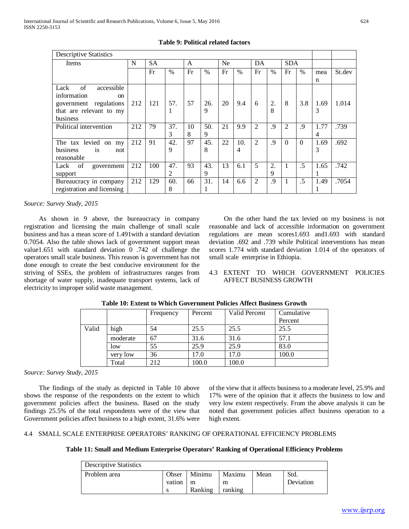| <b>Descriptive Statistics</b>                                                                                             |     |           |              |         |           |    |          |                |            |                |          |                |        |
|---------------------------------------------------------------------------------------------------------------------------|-----|-----------|--------------|---------|-----------|----|----------|----------------|------------|----------------|----------|----------------|--------|
| Items                                                                                                                     | N   | <b>SA</b> | $\mathsf{A}$ |         | <b>Ne</b> |    | DA       |                | <b>SDA</b> |                |          |                |        |
|                                                                                                                           |     | Fr        | $\%$         | Fr      | %         | Fr | $\%$     | Fr             | $\%$       | Fr             | $\%$     | mea            | St.dev |
| of<br>accessible<br>Lack<br>information<br><sub>on</sub><br>government regulations<br>that are relevant to my<br>business | 212 | 121       | 57.          | 57      | 26.<br>9  | 20 | 9.4      | 6              | 2.<br>8    | 8              | 3.8      | n<br>1.69<br>3 | 1.014  |
| Political intervention                                                                                                    | 212 | 79        | 37.<br>3     | 10<br>8 | 50.<br>9  | 21 | 9.9      | $\overline{2}$ | .9         | $\overline{2}$ | .9       | 1.77<br>4      | .739   |
| The tax levied<br>on<br>my<br>business<br>is<br>not<br>reasonable                                                         | 212 | 91        | 42.<br>9     | 97      | 45.<br>8  | 22 | 10.<br>4 | $\overline{2}$ | .9         | $\Omega$       | $\Omega$ | 1.69<br>3      | .692   |
| of<br>Lack<br>government<br>support                                                                                       | 212 | 100       | 47.<br>2     | 93      | 43.<br>9  | 13 | 6.1      | 5              | 2.<br>9    | 1              | $\cdot$  | 1.65           | .742   |
| Bureaucracy in company<br>registration and licensing                                                                      | 212 | 129       | 60.<br>8     | 66      | 31.       | 14 | 6.6      | 2              | .9         | 1              | .5       | 1.49           | .7054  |

# **Table 9: Political related factors**

*Source: Survey Study, 2015*

 As shown in 9 above, the bureaucracy in company registration and licensing the main challenge of small scale business and has a mean score of 1.491with a standard deviation 0.7054. Also the table shows lack of government support mean value1.651 with standard deviation 0 .742 of challenge the operators small scale business. This reason is government has not done enough to create the best conducive environment for the striving of SSEs, the problem of infrastructures ranges from shortage of water supply, inadequate transport systems, lack of electricity to improper solid waste management.

 On the other hand the tax levied on my business is not reasonable and lack of accessible information on government regulations are mean scores1.693 and1.693 with standard deviation .692 and .739 while Political interventions has mean scores 1.774 with standard deviation 1.014 of the operators of small scale enterprise in Ethiopia.

# 4.3 EXTENT TO WHICH GOVERNMENT POLICIES AFFECT BUSINESS GROWTH

|       |          | Frequency | Percent | Valid Percent | Cumulative |
|-------|----------|-----------|---------|---------------|------------|
|       |          |           |         |               | Percent    |
| Valid | high     | 54        | 25.5    | 25.5          | 25.5       |
|       | moderate | 67        | 31.6    | 31.6          | 57.1       |
|       | low      | 55        | 25.9    | 25.9          | 83.0       |
|       | very low | 36        | 17.0    | 17.0          | 100.0      |
|       | Total    | 212       | 100.0   | 100.0         |            |

# **Table 10: Extent to Which Government Policies Affect Business Growth**

*Source: Survey Study, 2015*

 The findings of the study as depicted in Table 10 above shows the response of the respondents on the extent to which government policies affect the business. Based on the study findings 25.5% of the total respondents were of the view that Government policies affect business to a high extent, 31.6% were of the view that it affects business to a moderate level, 25.9% and 17% were of the opinion that it affects the business to low and very low extent respectively. From the above analysis it can be noted that government policies affect business operation to a high extent.

## 4.4 SMALL SCALE ENTERPRISE OPERATORS' RANKING OF OPERATIONAL EFFICIENCY PROBLEMS

## **Table 11: Small and Medium Enterprise Operators' Ranking of Operational Efficiency Problems**

| <b>Descriptive Statistics</b> |        |         |         |      |           |
|-------------------------------|--------|---------|---------|------|-----------|
| Problem area                  | Obser  | Minimu  | Maximu  | Mean | Std.      |
|                               | vation | m       | m       |      | Deviation |
|                               |        | Ranking | ranking |      |           |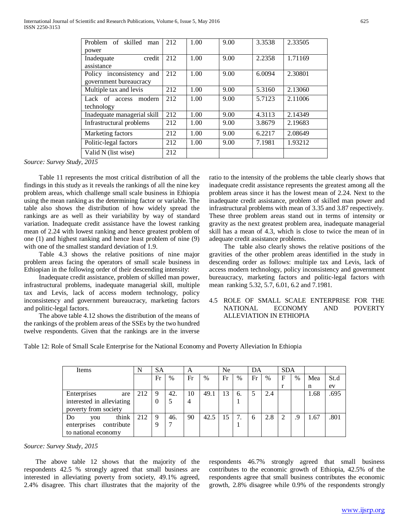| Problem of skilled<br>man   | 212 | 1.00 | 9.00 | 3.3538 | 2.33505 |
|-----------------------------|-----|------|------|--------|---------|
| power                       |     |      |      |        |         |
| credit<br>Inadequate        | 212 | 1.00 | 9.00 | 2.2358 | 1.71169 |
| assistance                  |     |      |      |        |         |
| Policy inconsistency<br>and | 212 | 1.00 | 9.00 | 6.0094 | 2.30801 |
| government bureaucracy      |     |      |      |        |         |
| Multiple tax and levis      | 212 | 1.00 | 9.00 | 5.3160 | 2.13060 |
| Lack of access<br>modern    | 212 | 1.00 | 9.00 | 5.7123 | 2.11006 |
| technology                  |     |      |      |        |         |
| Inadequate managerial skill | 212 | 1.00 | 9.00 | 4.3113 | 2.14349 |
| Infrastructural problems    | 212 | 1.00 | 9.00 | 3.8679 | 2.19683 |
| Marketing factors           | 212 | 1.00 | 9.00 | 6.2217 | 2.08649 |
| Politic-legal factors       | 212 | 1.00 | 9.00 | 7.1981 | 1.93212 |
| Valid N (list wise)         | 212 |      |      |        |         |

*Source: Survey Study, 2015*

 Table 11 represents the most critical distribution of all the findings in this study as it reveals the rankings of all the nine key problem areas, which challenge small scale business in Ethiopia using the mean ranking as the determining factor or variable. The table also shows the distribution of how widely spread the rankings are as well as their variability by way of standard variation. Inadequate credit assistance have the lowest ranking mean of 2.24 with lowest ranking and hence greatest problem of one (1) and highest ranking and hence least problem of nine (9) with one of the smallest standard deviation of 1.9.

 Table 4.3 shows the relative positions of nine major problem areas facing the operators of small scale business in Ethiopian in the following order of their descending intensity:

 Inadequate credit assistance, problem of skilled man power, infrastructural problems, inadequate managerial skill, multiple tax and Levis, lack of access modern technology, policy inconsistency and government bureaucracy, marketing factors and politic-legal factors.

 The above table 4.12 shows the distribution of the means of the rankings of the problem areas of the SSEs by the two hundred twelve respondents. Given that the rankings are in the inverse ratio to the intensity of the problems the table clearly shows that inadequate credit assistance represents the greatest among all the problem areas since it has the lowest mean of 2.24. Next to the inadequate credit assistance, problem of skilled man power and infrastructural problems with mean of 3.35 and 3.87 respectively. These three problem areas stand out in terms of intensity or gravity as the next greatest problem area, inadequate managerial skill has a mean of 4.3, which is close to twice the mean of in adequate credit assistance problems.

 The table also clearly shows the relative positions of the gravities of the other problem areas identified in the study in descending order as follows: multiple tax and Levis, lack of access modern technology, policy inconsistency and government bureaucracy, marketing factors and politic-legal factors with mean ranking 5.32, 5.7, 6.01, 6.2 and 7.1981.

## 4.5 ROLE OF SMALL SCALE ENTERPRISE FOR THE NATIONAL ECONOMY AND POVERTY ALLEVIATION IN ETHIOPIA

Table 12: Role of Small Scale Enterprise for the National Economy and Poverty Alleviation In Ethiopia

| Items                          | N   | <b>SA</b> |      | A  |      | Ne |      | DA |      | <b>SDA</b> |      |      |      |
|--------------------------------|-----|-----------|------|----|------|----|------|----|------|------------|------|------|------|
|                                |     | Fr        | $\%$ | Fr | $\%$ | Fr | $\%$ | Fr | $\%$ | F          | $\%$ | Mea  | St.d |
|                                |     |           |      |    |      |    |      |    |      |            |      | n    | ev   |
| Enterprises<br>are             | 212 | 9         | 42.  | 10 | 49.1 | 13 | 6.   | 5  | 2.4  |            |      | 1.68 | .695 |
| interested in alleviating      |     | 0         |      | 4  |      |    |      |    |      |            |      |      |      |
| poverty from society           |     |           |      |    |      |    |      |    |      |            |      |      |      |
| think<br>D <sub>o</sub><br>you | 212 | 9         | 46.  | 90 | 42.5 | 15 | 7.   | 6  | 2.8  |            | .9   | 1.67 | .801 |
| contribute<br>enterprises      |     | q         |      |    |      |    |      |    |      |            |      |      |      |
| to national economy            |     |           |      |    |      |    |      |    |      |            |      |      |      |

*Source: Survey Study, 2015*

 The above table 12 shows that the majority of the respondents 42.5 % strongly agreed that small business are interested in alleviating poverty from society, 49.1% agreed, 2.4% disagree. This chart illustrates that the majority of the respondents 46.7% strongly agreed that small business contributes to the economic growth of Ethiopia, 42.5% of the respondents agree that small business contributes the economic growth, 2.8% disagree while 0.9% of the respondents strongly